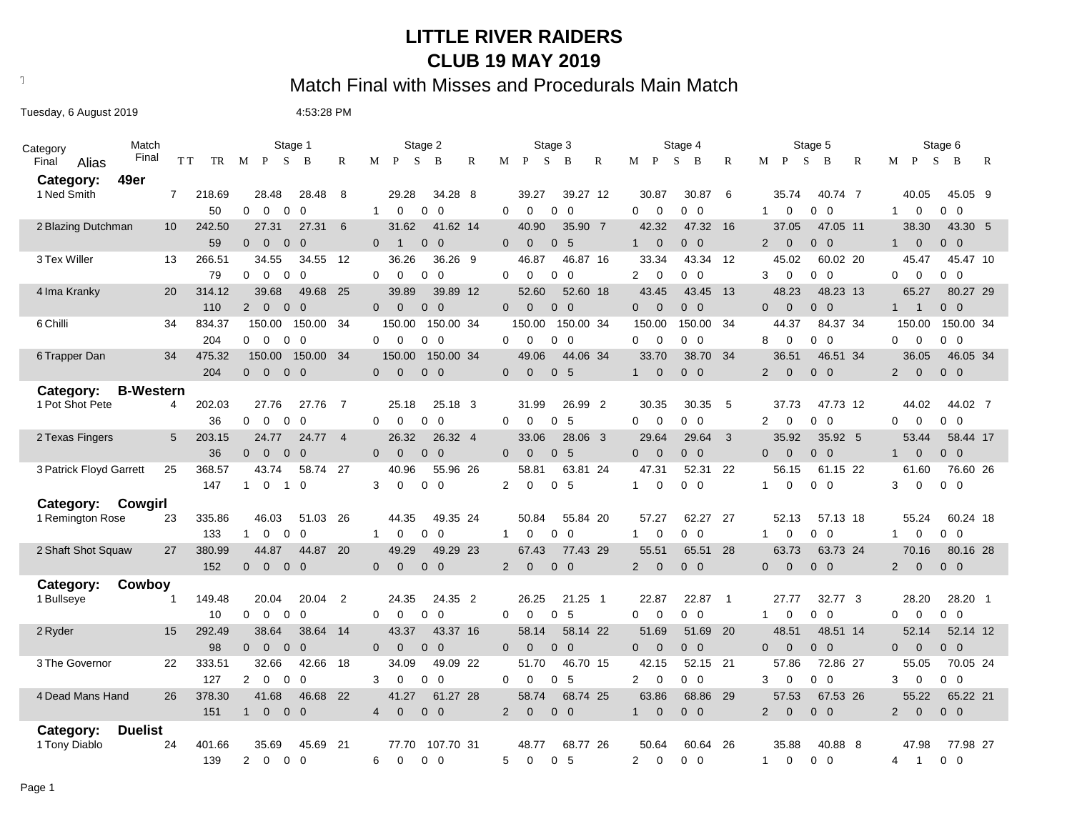#### **LITTLE RIVER RAIDERS CLUB 19 MAY 2019**

# Text497: Match Final with Misses and Procedurals Main Match

Tuesday, 6 August 2019 1990 1991 1992 12:53:28 PM

| Match<br>Category           |                  |           | Stage 1                                                              |                                | Stage 2                        |                | Stage 3                            |                                  | Stage 4                                 | Stage 5                                                        | Stage 6                          |                                  |
|-----------------------------|------------------|-----------|----------------------------------------------------------------------|--------------------------------|--------------------------------|----------------|------------------------------------|----------------------------------|-----------------------------------------|----------------------------------------------------------------|----------------------------------|----------------------------------|
| Final<br>Final<br>Alias     |                  | T T<br>TR | S<br>M<br>P<br>B<br>R                                                | M<br>P                         | S<br>B<br>R                    | M              | S<br>P<br>B<br>R                   | М<br>P                           | S<br>B<br>R                             | S<br>M<br>$\mathbf{P}$<br>B<br>R                               | S<br>M<br>$\mathbf{P}$           | B<br>R                           |
| 49er<br>Category:           |                  |           |                                                                      |                                |                                |                |                                    |                                  |                                         |                                                                |                                  |                                  |
| 1 Ned Smith                 | $\overline{7}$   | 218.69    | 8<br>28.48<br>28.48                                                  | 29.28                          | 34.28 8                        |                | 39.27<br>39.27 12                  | 30.87                            | 30.87<br>- 6                            | 40.74 7<br>35.74                                               | 40.05                            | 45.05 9                          |
|                             |                  | 50        | $\overline{0}$<br>$\mathbf{0}$<br>$\overline{0}$<br>0                | $\mathbf 0$<br>$\mathbf{1}$    | $\mathbf 0$<br>$\overline{0}$  | 0              | $\mathbf 0$<br>$\overline{0}$<br>0 | $\mathbf 0$<br>$\mathbf 0$       | $0\quad 0$                              | 0<br>$0\quad 0$<br>$\mathbf 1$                                 | 0<br>$\mathbf{1}$                | $0\quad 0$                       |
|                             | 10 <sup>°</sup>  | 242.50    | 6<br>27.31<br>27.31                                                  | 31.62                          | 41.62 14                       |                | 35.90 7<br>40.90                   | 42.32                            | 47.32 16                                | 47.05 11<br>37.05                                              | 38.30                            | 43.30 5                          |
| 2 Blazing Dutchman          |                  |           |                                                                      |                                |                                |                |                                    |                                  |                                         |                                                                |                                  |                                  |
|                             |                  | 59        | $\overline{0}$<br>$0\quad 0$<br>$\overline{0}$                       | $\mathbf{0}$<br>$\overline{1}$ | $0\quad 0$                     | $\overline{0}$ | 0 <sub>5</sub><br>$\mathbf 0$      | $\mathbf 0$<br>1                 | $0\quad 0$                              | $\mathbf 0$<br>$0\quad 0$<br>$\overline{2}$                    | $\mathbf 0$<br>$\mathbf{1}$      | $0\quad 0$                       |
| 3 Tex Willer                | 13               | 266.51    | 34.55<br>12<br>34.55                                                 | 36.26                          | 36.26 9                        |                | 46.87<br>46.87 16                  | 33.34                            | 43.34 12                                | 45.02<br>60.02 20                                              | 45.47                            | 45.47 10                         |
|                             |                  | 79        | $\overline{0}$<br>$\mathbf 0$<br>0<br>$\mathbf 0$                    | $\Omega$<br>0                  | $\mathbf{0}$<br>$\overline{0}$ | 0              | $\mathbf 0$<br>$\overline{0}$<br>0 | $\overline{2}$<br>$\mathbf 0$    | $0\quad 0$                              | $\mathbf 0$<br>$\overline{0}$<br>3<br>0                        | $\mathbf 0$<br>0                 | $\mathbf{0}$<br>$\overline{0}$   |
| 4 Ima Kranky                | 20               | 314.12    | 39.68<br>25<br>49.68                                                 | 39.89                          | 39.89 12                       |                | 52.60<br>52.60 18                  | 43.45                            | 43.45<br>13                             | 48.23<br>48.23 13                                              | 65.27                            | 80.27 29                         |
|                             |                  | 110       | $\overline{2}$<br>$\overline{0}$<br>$\overline{0}$<br>$\overline{0}$ | $\mathbf{0}$<br>$\overline{0}$ | $0\quad 0$                     | $\overline{0}$ | $\mathbf{0}$<br>$0\quad 0$         | $\overline{0}$<br>$\overline{0}$ | $0\quad 0$                              | $\mathbf{0}$<br>$\overline{0}$<br>$\mathbf{0}$<br>$\mathbf{0}$ | $\overline{1}$<br>$\mathbf{1}$   | $\overline{0}$<br>$\overline{0}$ |
| 6 Chilli                    | 34               | 834.37    | 150.00<br>150.00<br>34                                               | 150.00                         | 150.00 34                      |                | 150.00<br>150.00 34                | 150.00                           | 150.00<br>34                            | 44.37<br>84.37 34                                              | 150.00                           | 150.00 34                        |
|                             |                  | 204       | $\Omega$<br>$\overline{0}$<br>$\mathbf{0}$<br>$\overline{0}$         | $\mathbf{0}$<br>$\mathbf 0$    | $0\quad 0$                     | $\Omega$       | $\mathbf 0$<br>$0\quad 0$          | $\mathbf 0$<br>$\mathbf{0}$      | $0\quad 0$                              | 8<br>$\mathbf 0$<br>$\Omega$<br>$\mathbf 0$                    | $\mathbf 0$<br>0                 | $0\quad 0$                       |
| 6 Trapper Dan               | 34               | 475.32    | 150.00<br>150.00 34                                                  | 150.00                         | 150.00 34                      |                | 44.06 34<br>49.06                  | 33.70                            | 38.70<br>34                             | 36.51<br>46.51 34                                              | 36.05                            | 46.05 34                         |
|                             |                  | 204       | $0\quad 0$<br>$\overline{0}$<br>$\overline{0}$                       | $\overline{0}$<br>$\mathbf{0}$ | $0\quad 0$                     | $\mathbf{0}$   | 0 <sub>5</sub><br>$\overline{0}$   | $\mathbf{0}$<br>$\mathbf{1}$     | $0\quad 0$                              | $\mathbf{0}$<br>2<br>$\overline{0}$<br>$\overline{0}$          | $\overline{2}$<br>$\overline{0}$ | $0\quad 0$                       |
| Category:                   | <b>B-Western</b> |           |                                                                      |                                |                                |                |                                    |                                  |                                         |                                                                |                                  |                                  |
| 1 Pot Shot Pete             | 4                | 202.03    | 27.76<br>$\overline{7}$<br>27.76                                     | 25.18                          | 25.18 3                        |                | 26.99 2<br>31.99                   | 30.35                            | - 5<br>30.35                            | 47.73 12<br>37.73                                              | 44.02                            | 44.02 7                          |
|                             |                  | 36        | $\overline{0}$<br>$\mathbf 0$<br>0<br>$\Omega$                       | $\mathbf 0$<br>$\Omega$        | $\mathbf 0$<br>$\Omega$        | $\Omega$       | 5<br>$\mathbf 0$<br>0              | $\mathbf 0$<br>$\mathbf 0$       | $0\quad 0$                              | $\overline{0}$<br>$\overline{2}$<br>0<br>0                     | $\mathbf 0$<br>$\Omega$          | $\mathbf{0}$<br>$\overline{0}$   |
| 2 Texas Fingers             | 5                | 203.15    | 24.77<br>24.77<br>$\overline{4}$                                     | 26.32                          | 26.32 4                        |                | 33.06<br>28.06 3                   | 29.64                            | 29.64<br>$\overline{\mathbf{3}}$        | 35.92<br>35.92 5                                               | 53.44                            | 58.44 17                         |
|                             |                  | 36        | $\overline{0}$<br>$0\quad 0$<br>$\overline{0}$                       | $\mathbf 0$<br>$\Omega$        | $0\quad 0$                     | $\Omega$       | 0 <sub>5</sub><br>$\overline{0}$   | $\overline{0}$<br>$\Omega$       | $0\quad 0$                              | $\overline{0}$<br>$0\quad 0$<br>$\Omega$                       | $\overline{0}$<br>1              | $0\quad 0$                       |
| 3 Patrick Floyd Garrett     | 25               | 368.57    | 43.74<br>27<br>58.74                                                 | 40.96                          | 55.96 26                       |                | 58.81<br>63.81 24                  | 47.31                            | 52.31<br>-22                            | 56.15<br>61.15 22                                              | 61.60                            | 76.60 26                         |
|                             |                  | 147       | $\overline{0}$<br>$\Omega$<br>$\mathbf{1}$<br>$\overline{1}$         | 3<br>$\mathbf 0$               | $0\quad 0$                     | $\overline{2}$ | $\mathbf 0$<br>0 <sub>5</sub>      | $\mathbf 0$<br>1                 | $0\quad 0$                              | $\Omega$<br>$0\quad 0$<br>1                                    | $\mathbf 0$<br>3                 | $0\quad 0$                       |
| Category:<br>Cowgirl        |                  |           |                                                                      |                                |                                |                |                                    |                                  |                                         |                                                                |                                  |                                  |
| 1 Remington Rose            | 23               | 335.86    | 46.03<br>51.03 26                                                    | 44.35                          | 49.35 24                       |                | 50.84<br>55.84 20                  | 57.27                            | 62.27<br>- 27                           | 52.13<br>57.13 18                                              | 55.24                            | 60.24 18                         |
|                             |                  | 133       | $\mathbf 0$<br>$\mathbf 0$<br>$\Omega$<br>$\mathbf{1}$               | $\mathbf 0$<br>$\mathbf{1}$    | 0<br>$\overline{0}$            | $\mathbf{1}$   | $\overline{0}$<br>0<br>0           | $\mathbf 0$<br>$\mathbf{1}$      | $\overline{\mathbf{0}}$<br>$\mathbf{0}$ | $\mathbf 0$<br>$\overline{0}$<br>$\mathbf{1}$<br>0             | $\mathbf 0$<br>$\mathbf{1}$      | $\overline{0}$<br>$\overline{0}$ |
| 2 Shaft Shot Squaw          | 27               | 380.99    | -20<br>44.87<br>44.87                                                | 49.29                          | 49.29 23                       |                | 77.43 29<br>67.43                  | 55.51                            | 65.51<br>28                             | 63.73 24<br>63.73                                              | 70.16                            | 80.16 28                         |
|                             |                  | 152       | $\overline{0}$<br>$\overline{0}$<br>$0\quad 0$                       | $\overline{0}$<br>$\mathbf{0}$ | $0\quad 0$                     | $\overline{2}$ | $0\quad 0$<br>$\mathbf 0$          | $\mathbf 0$<br>2                 | $0\quad 0$                              | $\overline{0}$<br>$0\quad 0$<br>$\mathbf{0}$                   | $\overline{2}$<br>$\overline{0}$ | $0\quad 0$                       |
|                             |                  |           |                                                                      |                                |                                |                |                                    |                                  |                                         |                                                                |                                  |                                  |
| Cowboy<br>Category:         |                  |           |                                                                      |                                |                                |                |                                    |                                  |                                         |                                                                |                                  |                                  |
| 1 Bullseye                  |                  | 149.48    | 20.04<br>$\overline{2}$<br>20.04                                     | 24.35                          | 24.35 2                        |                | 21.25 1<br>26.25                   | 22.87                            | 22.87<br>$\overline{1}$                 | 27.77<br>32.77 3                                               | 28.20                            | 28.20 1                          |
|                             |                  | 10        | $\mathbf 0$<br>$\overline{0}$<br>$\mathbf 0$<br>$\overline{0}$       | $\Omega$<br>$\mathbf 0$        | $\mathbf{0}$<br>$\overline{0}$ | 0              | 5<br>$\mathbf 0$<br>0              | $\Omega$<br>$\mathbf 0$          | $0\quad 0$                              | $\overline{0}$<br>$\mathbf{1}$<br>0<br>$\mathbf 0$             | $\mathbf 0$<br>$\mathbf 0$       | $0\quad 0$                       |
| 2 Ryder                     | 15               | 292.49    | 38.64<br>38.64<br>14                                                 | 43.37                          | 43.37 16                       |                | 58.14 22<br>58.14                  | 51.69                            | 51.69<br>- 20                           | 48.51 14<br>48.51                                              | 52.14                            | 52.14 12                         |
|                             |                  | 98        | $\overline{0}$<br>$\overline{0}$<br>$\overline{0}$<br>$\Omega$       | $\mathbf{0}$<br>$\Omega$       | $0\quad 0$                     | $\Omega$       | $\mathbf{0}$<br>$0\quad 0$         | $\overline{0}$<br>$\overline{0}$ | $0\quad 0$                              | $\mathbf{0}$<br>$0\quad 0$<br>$\mathbf{0}$                     | $\overline{0}$<br>$\overline{0}$ | $0\quad 0$                       |
| 3 The Governor              | 22               | 333.51    | 32.66<br>18<br>42.66                                                 | 34.09                          | 49.09 22                       |                | 51.70<br>46.70 15                  | 42.15                            | 21<br>52.15                             | 57.86<br>72.86 27                                              | 55.05                            | 70.05 24                         |
|                             |                  | 127       | $\mathbf{2}$<br>$\overline{0}$<br>$\mathbf 0$<br>$\Omega$            | 0<br>3                         | 0<br>$\overline{0}$            | $\Omega$       | - 5<br>0<br>0                      | $\mathbf 0$<br>2                 | $0\quad 0$                              | 0<br>0<br>$\overline{0}$<br>3                                  | $\mathbf 0$<br>3                 | $0\quad 0$                       |
| 4 Dead Mans Hand            | 26               | 378.30    | 41.68<br>- 22<br>46.68                                               | 41.27                          | 61.27 28                       |                | 58.74<br>68.74 25                  | 63.86                            | 68.86<br>- 29                           | 57.53<br>67.53 26                                              | 55.22                            | 65.22 21                         |
|                             |                  | 151       | $\overline{0}$<br>$0\quad 0$<br>1                                    | $\mathbf{0}$<br>$\overline{4}$ | $0\quad 0$                     | $2^{\circ}$    | $\mathbf{0}$<br>$0\quad 0$         | $\mathbf{0}$<br>1                | $0\quad 0$                              | $\overline{2}$<br>$\Omega$<br>$\overline{0}$<br>$\mathbf{0}$   | $\overline{2}$<br>$\overline{0}$ | $0\quad 0$                       |
| <b>Duelist</b><br>Category: |                  |           |                                                                      |                                |                                |                |                                    |                                  |                                         |                                                                |                                  |                                  |
| 1 Tony Diablo               | 24               | 401.66    | 35.69<br>45.69<br>21                                                 | 77.70                          | 107.70 31                      |                | 48.77<br>68.77 26                  | 50.64                            | 60.64<br>-26                            | 35.88<br>40.88 8                                               | 47.98                            | 77.98 27                         |
|                             |                  | 139       | $\overline{2}$<br>$\mathbf{0}$<br>$\Omega$<br>$\Omega$               | 6<br>$\Omega$                  | $0\quad 0$                     | 5              | $\Omega$<br>5<br>$\Omega$          | $\overline{2}$<br>$\Omega$       | $\Omega$<br>$\overline{0}$              | $\Omega$<br>$\overline{0}$<br>0<br>$\mathbf{1}$                | 4<br>$\overline{1}$              | $0\quad 0$                       |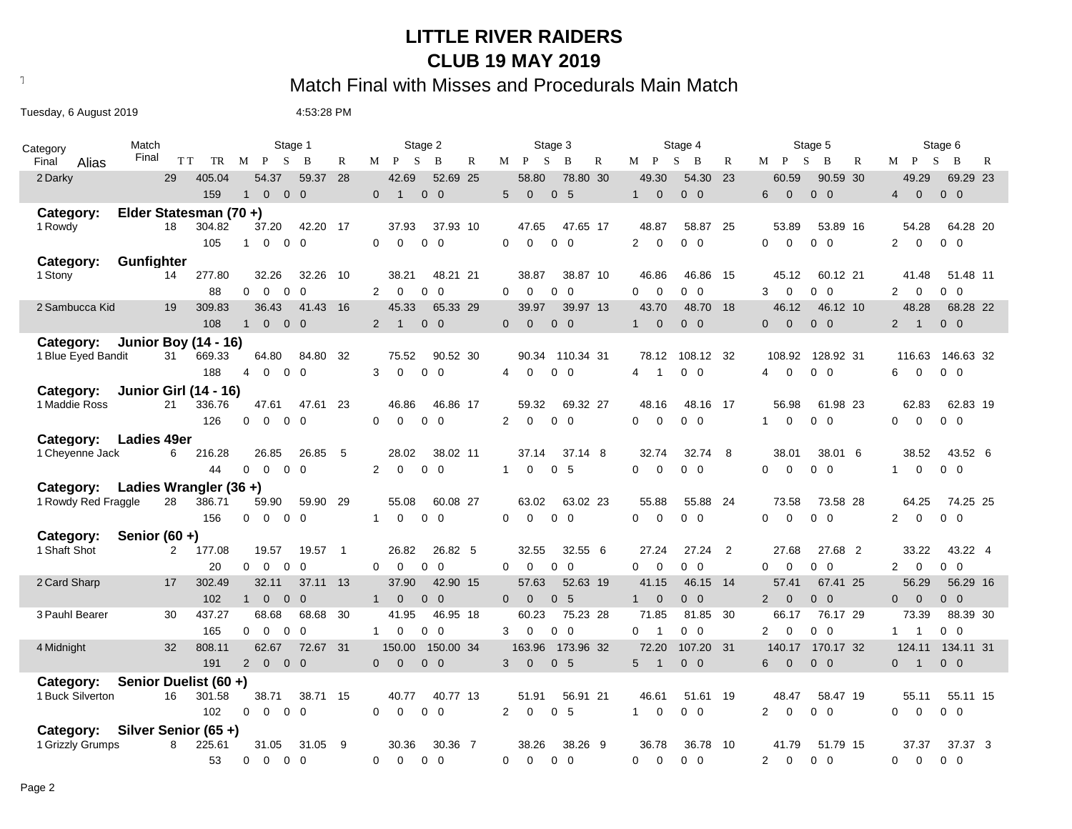#### **LITTLE RIVER RAIDERS CLUB 19 MAY 2019**

# Text497: Match Final with Misses and Procedurals Main Match

Tuesday, 6 August 2019 1990 1991 1992 12:53:28 PM

| Match<br>Category       |                                | Stage 1                                                        | Stage 2                                                      | Stage 3                                            | Stage 4                                  | Stage 5                                                        | Stage 6                                                    |
|-------------------------|--------------------------------|----------------------------------------------------------------|--------------------------------------------------------------|----------------------------------------------------|------------------------------------------|----------------------------------------------------------------|------------------------------------------------------------|
| Final<br>Final<br>Alias | T T<br>TR                      | S<br>M P<br>B                                                  | R<br>$M$ $P$<br>S<br>B<br>$\mathbb{R}$                       | M P<br>S<br>B<br>$\mathbb{R}$                      | $M$ $P$<br>S<br>B<br>$\mathbb{R}$        | $M$ $P$<br>S<br>B<br>$\mathbb{R}$                              | $\mathbf{B}$<br>M P<br>S<br>R                              |
| 2 Darky                 | 29<br>405.04                   | 59.37<br>54.37                                                 | 28<br>42.69<br>52.69 25                                      | 78.80 30<br>58.80                                  | 49.30<br>54.30<br>23                     | 60.59<br>90.59 30                                              | 49.29<br>69.29 23                                          |
|                         | 159                            | $\Omega$<br>$\overline{0}$<br>$\Omega$<br>$\mathbf{1}$         | $\Omega$<br>$0\quad 0$<br>-1                                 | $\mathbf{0}$<br>5<br>5<br>$\Omega$                 | $0\quad 0$<br>$\mathbf{1}$<br>$\Omega$   | $\Omega$<br>$0\quad 0$<br>6                                    | $\mathbf{0}$<br>$0\quad 0$<br>$\overline{4}$               |
| Category:               | Elder Statesman (70+)          |                                                                |                                                              |                                                    |                                          |                                                                |                                                            |
| 1 Rowdy                 | 18<br>304.82                   | 42.20 17<br>37.20                                              | 37.93<br>37.93 10                                            | 47.65<br>47.65 17                                  | 48.87<br>58.87<br>25                     | 53.89<br>53.89 16                                              | 54.28<br>64.28 20                                          |
|                         | 105                            | $\mathbf 0$<br>$\mathbf 0$<br>$\Omega$<br>1                    | $\Omega$<br>0 <sub>0</sub><br>$\Omega$                       | $\Omega$<br>$\Omega$<br>$\overline{0}$<br>$\Omega$ | $\overline{2}$<br>$0\quad 0$<br>$\Omega$ | $\Omega$<br>$\Omega$<br>$0\quad 0$                             | $\overline{2}$<br>$\Omega$<br>$0\quad 0$                   |
| Category:               | Gunfighter                     |                                                                |                                                              |                                                    |                                          |                                                                |                                                            |
| 1 Stony                 | 277.80<br>14                   | 32.26<br>32.26                                                 | - 10<br>48.21 21<br>38.21                                    | 38.87 10<br>38.87                                  | 46.86<br>15<br>46.86                     | 60.12 21<br>45.12                                              | 51.48 11<br>41.48                                          |
|                         | 88                             | $\overline{0}$<br>$\overline{0}$<br>$\mathbf 0$<br>$\mathbf 0$ | $0\quad 0$<br>2<br>$\mathbf 0$                               | $\mathbf 0$<br>$0\quad 0$<br>$\Omega$              | $0\quad 0$<br>0<br>$\overline{0}$        | $\mathbf 0$<br>$0\quad 0$<br>3                                 | $\overline{2}$<br>$\overline{0}$<br>$0\quad 0$             |
| 2 Sambucca Kid          | 19<br>309.83                   | 36.43<br>41.43                                                 | 16<br>45.33<br>65.33 29                                      | 39.97<br>39.97 13                                  | 43.70<br>48.70 18                        | 46.12<br>46.12 10                                              | 48.28<br>68.28 22                                          |
|                         | 108                            | $0\quad 0$<br>$\overline{0}$<br>1                              | $0\quad 0$<br>$2^{\circ}$<br>$\mathbf{1}$                    | $\Omega$<br>$0\quad 0$<br>$\Omega$                 | $\Omega$<br>$0\quad 0$<br>$1 \quad$      | $\Omega$<br>$0\quad 0$<br>$\Omega$                             | $0\quad 0$<br>$2 \quad 1$                                  |
| Category:               | <b>Junior Boy (14 - 16)</b>    |                                                                |                                                              |                                                    |                                          |                                                                |                                                            |
| 1 Blue Eyed Bandit      | 669.33<br>31                   | 64.80<br>84.80                                                 | 32<br>75.52<br>90.52 30                                      | 90.34<br>110.34 31                                 | 78.12<br>108.12 32                       | 108.92<br>128.92 31                                            | 116.63<br>146.63 32                                        |
|                         | 188                            | $\overline{0}$<br>$\mathbf 0$<br>$\overline{0}$<br>4           | 3<br>$0\quad 0$<br>$\Omega$                                  | $\mathbf 0$<br>$0\quad 0$<br>4                     | $0\quad 0$<br>4                          | $\overline{0}$<br>$0\quad 0$<br>4                              | $\overline{0}$<br>$0\quad 0$<br>6                          |
| Category:               | <b>Junior Girl (14 - 16)</b>   |                                                                |                                                              |                                                    |                                          |                                                                |                                                            |
| 1 Maddie Ross           | 21<br>336.76                   | 47.61<br>47.61                                                 | -23<br>46.86<br>46.86 17                                     | 59.32<br>69.32 27                                  | 48.16<br>48.16 17                        | 56.98<br>61.98 23                                              | 62.83<br>62.83 19                                          |
|                         | 126                            | $\mathbf 0$<br>$\mathbf 0$<br>$0\quad 0$                       | $0\quad 0$<br>$\mathbf 0$<br>$\mathbf 0$                     | $0\quad 0$<br>2<br>$\mathbf 0$                     | $0\quad 0$<br>0<br>$\mathbf 0$           | $\mathbf 0$<br>$\mathbf{1}$<br>$0\quad 0$                      | $\overline{0}$<br>$\mathbf{0}$<br>$0\quad 0$               |
| Category:               | <b>Ladies 49er</b>             |                                                                |                                                              |                                                    |                                          |                                                                |                                                            |
| 1 Cheyenne Jack         | 216.28<br>6                    | 26.85<br>26.85                                                 | 5<br>28.02<br>38.02 11                                       | 37.14<br>37.14 8                                   | 32.74<br>32.74<br>- 8                    | 38.01<br>38.01 6                                               | 38.52<br>43.52 6                                           |
|                         | 44                             | $\mathbf 0$<br>$0\quad 0$<br>$\Omega$                          | 2<br>$0\quad 0$<br>$\Omega$                                  | 5<br>0<br>0<br>$\mathbf{1}$                        | $0\quad 0$<br>0<br>$\Omega$              | $\mathbf 0$<br>$0\quad 0$<br>0                                 | $\mathbf 0$<br>$0\quad 0$<br>$\mathbf{1}$                  |
| Category:               | Ladies Wrangler $(36 +)$       |                                                                |                                                              |                                                    |                                          |                                                                |                                                            |
| 1 Rowdy Red Fraggle     | 28<br>386.71                   | 59.90 29<br>59.90                                              | 55.08<br>60.08 27                                            | 63.02 23<br>63.02                                  | 55.88<br>55.88 24                        | 73.58<br>73.58 28                                              | 64.25<br>74.25 25                                          |
|                         | 156                            | $\overline{0}$<br>$\mathbf{0}$<br>$0\quad 0$                   | $0\quad 0$<br>$\mathbf 0$<br>$\mathbf{1}$                    | $0\quad 0$<br>$\Omega$<br>$\Omega$                 | $0\quad 0$<br>$\Omega$<br>0              | $0\quad 0$<br>$\overline{0}$<br>$\overline{0}$                 | $\overline{0}$<br>$0\quad 0$<br>$\overline{2}$             |
| Category:               | Senior $(60 +)$                |                                                                |                                                              |                                                    |                                          |                                                                |                                                            |
| 1 Shaft Shot            | $\mathbf{2}^{\circ}$<br>177.08 | 19.57<br>19.57 1                                               | 26.82<br>26.82 5                                             | 32.55 6<br>32.55                                   | $\overline{2}$<br>27.24<br>27.24         | 27.68<br>27.68 2                                               | 33.22<br>43.22 4                                           |
|                         | 20                             | $\mathbf 0$<br>$\mathbf 0$<br>$\Omega$<br>$\Omega$             | $\overline{0}$<br>$\mathbf 0$<br>$\mathbf 0$<br>$\mathbf 0$  | $\overline{0}$<br>$\mathbf 0$<br>$\Omega$<br>0     | $0\quad 0$<br>0<br>$\Omega$              | $\overline{0}$<br>$\mathbf 0$<br>$\overline{0}$<br>0           | 2<br>$\overline{0}$<br>$0\quad 0$                          |
| 2 Card Sharp            | 302.49<br>17                   | 32.11<br>37.11 13                                              | 37.90<br>42.90 15                                            | 57.63<br>52.63 19                                  | 41.15<br>46.15 14                        | 57.41<br>67.41 25                                              | 56.29<br>56.29 16                                          |
|                         | 102                            | $\overline{0}$<br>$\overline{0}$<br>$\overline{0}$<br>1        | 1<br>$\mathbf{0}$<br>$0\quad 0$                              | $\overline{0}$<br>0 <sub>5</sub><br>$\Omega$       | $1 \quad 0$<br>$0\quad 0$                | $2^{\circ}$<br>$\overline{0}$<br>$0\quad 0$                    | $0\quad 0$<br>$0 \quad 0$                                  |
| 3 Pauhl Bearer          | 437.27<br>30                   | 68.68<br>68.68                                                 | 30<br>41.95<br>46.95 18                                      | 75.23 28<br>60.23                                  | 71.85<br>81.85 30                        | 76.17 29<br>66.17                                              | 73.39<br>88.39 30                                          |
|                         | 165                            | $\mathbf 0$<br>$\mathbf 0$<br>$\mathbf 0$<br>$\Omega$          | $\mathbf{1}$<br>$\mathbf{0}$<br>0<br>$\overline{\mathbf{0}}$ | 3<br>$\Omega$<br>$\overline{0}$<br>0               | $0\quad 0$<br>$\Omega$<br>$\overline{1}$ | $\overline{2}$<br>$\mathbf 0$<br>$\mathbf 0$<br>$\overline{0}$ | $0\quad 0$<br>$\mathbf{1}$<br>$\overline{1}$               |
| 4 Midnight              | 808.11<br>32                   | 62.67<br>72.67 31                                              | 150.00<br>150.00 34                                          | 163.96<br>173.96 32                                | 72.20<br>107.20 31                       | 170.17 32<br>140.17                                            | 124.11<br>134.11 31                                        |
|                         | 191                            | $0\quad 0$<br>$2^{\circ}$<br>$\overline{0}$                    | $\overline{0}$<br>$\overline{0}$<br>$0\quad 0$               | 0 <sub>5</sub><br>3<br>$\mathbf{0}$                | $0\quad 0$<br>5<br>$\overline{1}$        | $0\quad 0$<br>6<br>$\overline{0}$                              | $0\quad 0$<br>$\overline{0}$<br>$\overline{\phantom{0}}$ 1 |
| Category:               | Senior Duelist (60 +)          |                                                                |                                                              |                                                    |                                          |                                                                |                                                            |
| 1 Buck Silverton        | 16<br>301.58                   | 38.71<br>38.71 15                                              | 40.77<br>40.77 13                                            | 51.91<br>56.91 21                                  | 46.61<br>51.61<br>- 19                   | 48.47<br>58.47 19                                              | 55.11<br>55.11 15                                          |
|                         | 102                            | $\mathbf{0}$<br>$\mathbf{0}$<br>$0\quad 0$                     | $\Omega$<br>$\mathbf 0$<br>$0\quad 0$                        | $\overline{2}$<br>$\mathbf 0$<br>0 <sub>5</sub>    | $0\quad 0$<br>$\mathbf 0$<br>$1 \quad$   | $\mathbf 0$<br>$0\quad 0$<br>$\overline{2}$                    | $\mathbf 0$<br>$0\quad 0$<br>$\Omega$                      |
| Category:               | Silver Senior (65+)            |                                                                |                                                              |                                                    |                                          |                                                                |                                                            |
| 1 Grizzly Grumps        | 225.61<br>8                    | 31.05<br>31.05                                                 | - 9<br>30.36<br>30.36 7                                      | 38.26<br>38.26 9                                   | 36.78<br>36.78 10                        | 41.79<br>51.79 15                                              | 37.37<br>37.37 3                                           |
|                         | 53                             | $0\quad 0$<br>$\overline{0}$<br>$\Omega$                       | $0\quad 0$<br>$\Omega$<br>$\Omega$                           | $\overline{0}$<br>$\Omega$<br>$\Omega$<br>$\Omega$ | $0\quad 0$<br>0<br>$\Omega$              | $\Omega$<br>$0\quad 0$<br>$\overline{2}$                       | $\Omega$<br>$0\quad 0$<br>0                                |